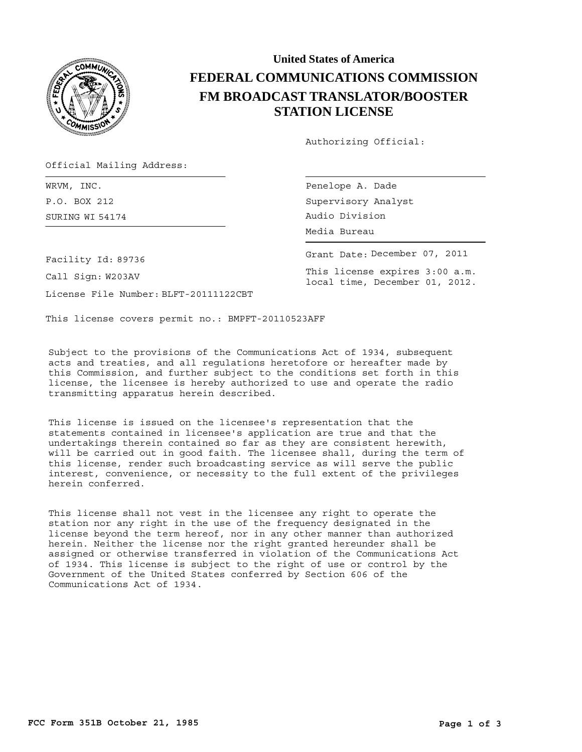

## **United States of America FEDERAL COMMUNICATIONS COMMISSION FM BROADCAST TRANSLATOR/BOOSTER STATION LICENSE**

Authorizing Official:

Official Mailing Address:

SURING Audio Division WI 54174 WRVM, INC. P.O. BOX 212

Penelope A. Dade Supervisory Analyst Media Bureau

Grant Date: December 07, 2011 This license expires 3:00 a.m. local time, December 01, 2012.

Facility Id: 89736

Call Sign: W203AV

License File Number: BLFT-20111122CBT

This license covers permit no.: BMPFT-20110523AFF

Subject to the provisions of the Communications Act of 1934, subsequent acts and treaties, and all regulations heretofore or hereafter made by this Commission, and further subject to the conditions set forth in this license, the licensee is hereby authorized to use and operate the radio transmitting apparatus herein described.

This license is issued on the licensee's representation that the statements contained in licensee's application are true and that the undertakings therein contained so far as they are consistent herewith, will be carried out in good faith. The licensee shall, during the term of this license, render such broadcasting service as will serve the public interest, convenience, or necessity to the full extent of the privileges herein conferred.

This license shall not vest in the licensee any right to operate the station nor any right in the use of the frequency designated in the license beyond the term hereof, nor in any other manner than authorized herein. Neither the license nor the right granted hereunder shall be assigned or otherwise transferred in violation of the Communications Act of 1934. This license is subject to the right of use or control by the Government of the United States conferred by Section 606 of the Communications Act of 1934.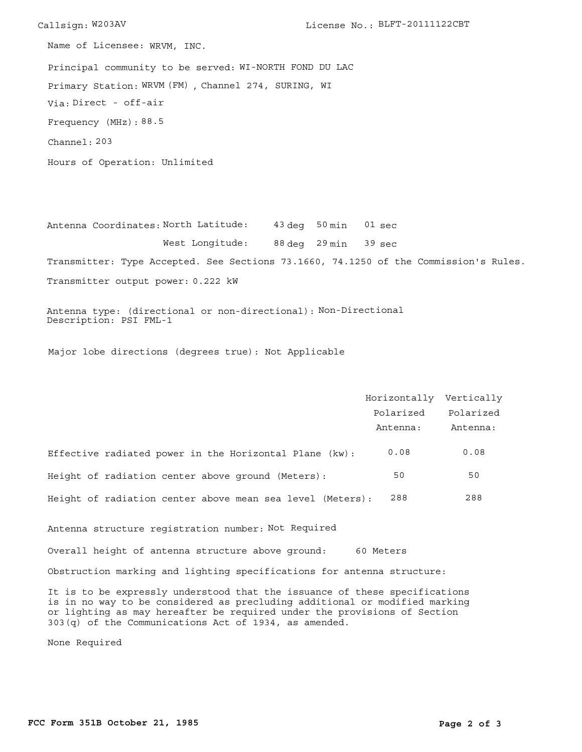Callsign: W203AV License No.: BLFT-20111122CBT Principal community to be served: WI-NORTH FOND DU LAC Hours of Operation: Unlimited Frequency (MHz): 88.5 Via: Direct - off-air Primary Station: WRVM (FM), Channel 274, SURING, WI Channel: 203 Name of Licensee: WRVM, INC.

Antenna Coordinates:North Latitude: 43 deg 50 min 88 deg 29 min 39 sec West Longitude: Transmitter: Type Accepted. See Sections 73.1660, 74.1250 of the Commission's Rules. Transmitter output power: 0.222 kW 01 sec

Antenna type: (directional or non-directional): Non-Directional Description: PSI FML-1

Major lobe directions (degrees true): Not Applicable

|                                                           | Horizontally Vertically |           |
|-----------------------------------------------------------|-------------------------|-----------|
|                                                           | Polarized               | Polarized |
|                                                           | Antenna:                | Antenna:  |
| Effective radiated power in the Horizontal Plane (kw):    | 0.08                    | 0.08      |
| Height of radiation center above ground (Meters):         | 50                      | 50        |
| Height of radiation center above mean sea level (Meters): | 288                     | 288       |
|                                                           |                         |           |

Antenna structure registration number: Not Required

Overall height of antenna structure above ground: 60 Meters

Obstruction marking and lighting specifications for antenna structure:

It is to be expressly understood that the issuance of these specifications is in no way to be considered as precluding additional or modified marking or lighting as may hereafter be required under the provisions of Section 303(q) of the Communications Act of 1934, as amended.

None Required